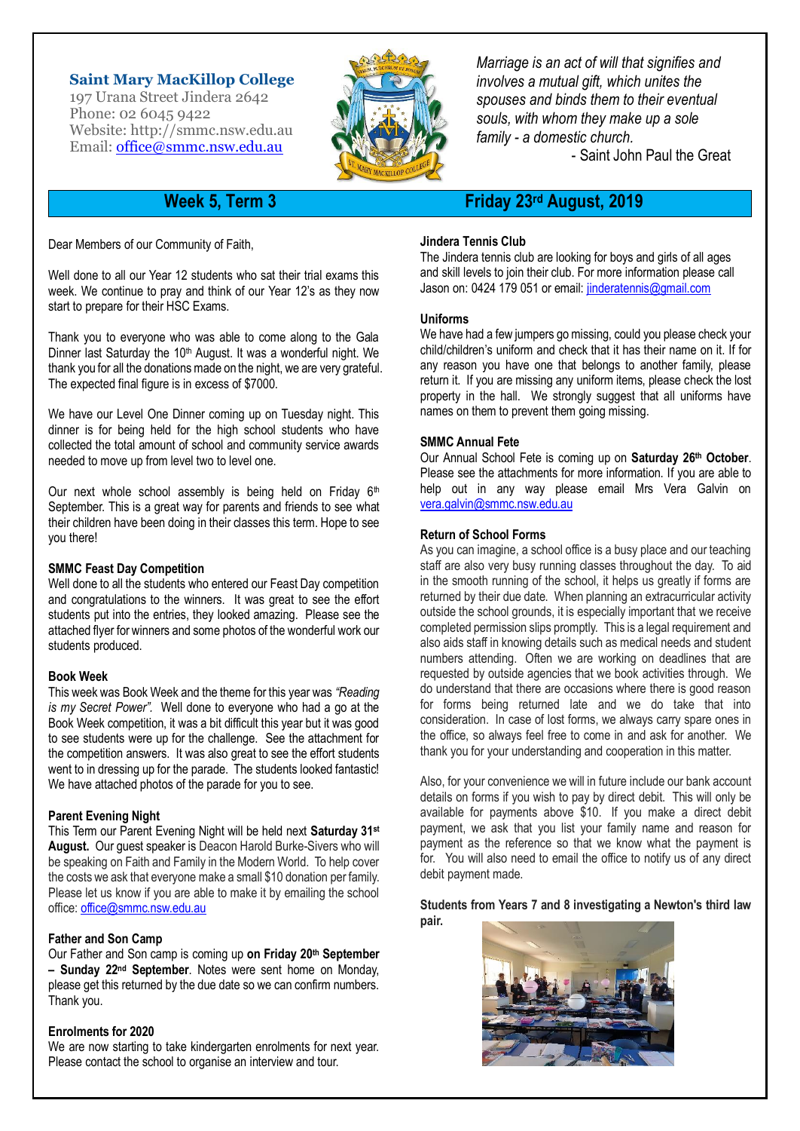### **Saint Mary MacKillop College**

197 Urana Street Jindera 2642 Phone: 02 6045 9422 Website: http:/[/smmc.nsw.edu.au](http://smmc.nsw.edu.au/) Email: [office@smmc.nsw.edu.au](mailto:office@smmc.nsw.edu.au)



*Marriage is an act of will that signifies and involves a mutual gift, which unites the spouses and binds them to their eventual souls, with whom they make up a sole family - a domestic church.*

- Saint John Paul the Great

Dear Members of our Community of Faith,

Well done to all our Year 12 students who sat their trial exams this week. We continue to pray and think of our Year 12's as they now start to prepare for their HSC Exams.

Thank you to everyone who was able to come along to the Gala Dinner last Saturday the 10<sup>th</sup> August. It was a wonderful night. We thank you for all the donations made on the night, we are very grateful. The expected final figure is in excess of \$7000.

We have our Level One Dinner coming up on Tuesday night. This dinner is for being held for the high school students who have collected the total amount of school and community service awards needed to move up from level two to level one.

Our next whole school assembly is being held on Friday  $6<sup>th</sup>$ September. This is a great way for parents and friends to see what their children have been doing in their classes this term. Hope to see you there!

#### **SMMC Feast Day Competition**

Well done to all the students who entered our Feast Day competition and congratulations to the winners. It was great to see the effort students put into the entries, they looked amazing. Please see the attached flyer for winners and some photos of the wonderful work our students produced.

#### **Book Week**

This week was Book Week and the theme for this year was *"Reading is my Secret Power".* Well done to everyone who had a go at the Book Week competition, it was a bit difficult this year but it was good to see students were up for the challenge. See the attachment for the competition answers. It was also great to see the effort students went to in dressing up for the parade. The students looked fantastic! We have attached photos of the parade for you to see.

#### **Parent Evening Night**

This Term our Parent Evening Night will be held next **Saturday 31st August.** Our guest speaker is Deacon Harold Burke-Sivers who will be speaking on Faith and Family in the Modern World. To help cover the costs we ask that everyone make a small \$10 donation per family. Please let us know if you are able to make it by emailing the school office: [office@smmc.nsw.edu.au](mailto:office@smmc.nsw.edu.au)

#### **Father and Son Camp**

Our Father and Son camp is coming up **on Friday 20th September – Sunday 22nd September**. Notes were sent home on Monday, please get this returned by the due date so we can confirm numbers. Thank you.

#### **Enrolments for 2020**

We are now starting to take kindergarten enrolments for next year. Please contact the school to organise an interview and tour.

## **Week 5, Term 3 Friday 23rd August, 2019**

#### **Jindera Tennis Club**

The Jindera tennis club are looking for boys and girls of all ages and skill levels to join their club. For more information please call Jason on: 0424 179 051 or email: [jinderatennis@gmail.com](mailto:jinderatennis@gmail.com)

#### **Uniforms**

We have had a few jumpers go missing, could you please check your child/children's uniform and check that it has their name on it. If for any reason you have one that belongs to another family, please return it. If you are missing any uniform items, please check the lost property in the hall. We strongly suggest that all uniforms have names on them to prevent them going missing.

#### **SMMC Annual Fete**

Our Annual School Fete is coming up on **Saturday 26th October**. Please see the attachments for more information. If you are able to help out in any way please email Mrs Vera Galvin on [vera.galvin@smmc.nsw.edu.au](mailto:vera.galvin@smmc.nsw.edu.au)

#### **Return of School Forms**

As you can imagine, a school office is a busy place and our teaching staff are also very busy running classes throughout the day. To aid in the smooth running of the school, it helps us greatly if forms are returned by their due date. When planning an extracurricular activity outside the school grounds, it is especially important that we receive completed permission slips promptly. This is a legal requirement and also aids staff in knowing details such as medical needs and student numbers attending. Often we are working on deadlines that are requested by outside agencies that we book activities through. We do understand that there are occasions where there is good reason for forms being returned late and we do take that into consideration. In case of lost forms, we always carry spare ones in the office, so always feel free to come in and ask for another. We thank you for your understanding and cooperation in this matter.

Also, for your convenience we will in future include our bank account details on forms if you wish to pay by direct debit. This will only be available for payments above \$10. If you make a direct debit payment, we ask that you list your family name and reason for payment as the reference so that we know what the payment is for. You will also need to email the office to notify us of any direct debit payment made.

**Students from Years 7 and 8 investigating a Newton's third law pair.**

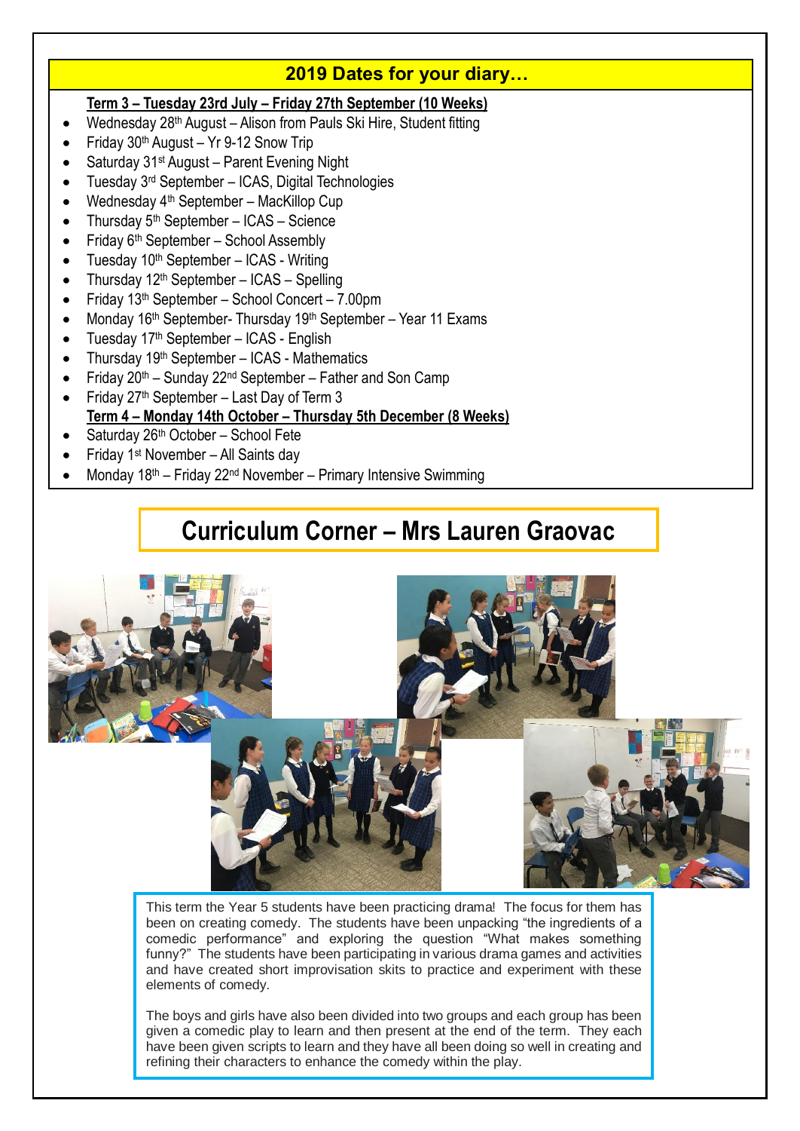# **2019 Dates for your diary…**

### **Term 3 – Tuesday 23rd July – Friday 27th September (10 Weeks)**

- Wednesday 28th August Alison from Pauls Ski Hire, Student fitting
- Friday 30th August Yr 9-12 Snow Trip
- Saturday 31st August Parent Evening Night
- Tuesday 3rd September ICAS, Digital Technologies
- Wednesday 4th September MacKillop Cup
- Thursday  $5<sup>th</sup>$  September ICAS Science
- Friday 6th September School Assembly
- Tuesday 10th September ICAS Writing
- Thursday 12th September ICAS Spelling
- Friday 13th September School Concert 7.00pm
- Monday 16<sup>th</sup> September- Thursday 19<sup>th</sup> September Year 11 Exams
- Tuesday 17th September ICAS English
- Thursday 19th September ICAS Mathematics
- Friday 20th Sunday 22nd September Father and Son Camp
- Friday 27th September Last Day of Term 3 **Term 4 – Monday 14th October – Thursday 5th December (8 Weeks)**
- Saturday 26th October School Fete
- Friday 1st November All Saints day
- Monday 18th Friday 22nd November Primary Intensive Swimming

# **Curriculum Corner – Mrs Lauren Graovac**



This term the Year 5 students have been practicing drama! The focus for them has been on creating comedy. The students have been unpacking "the ingredients of a comedic performance" and exploring the question "What makes something funny?" The students have been participating in various drama games and activities and have created short improvisation skits to practice and experiment with these elements of comedy.

The boys and girls have also been divided into two groups and each group has been given a comedic play to learn and then present at the end of the term. They each have been given scripts to learn and they have all been doing so well in creating and refining their characters to enhance the comedy within the play.